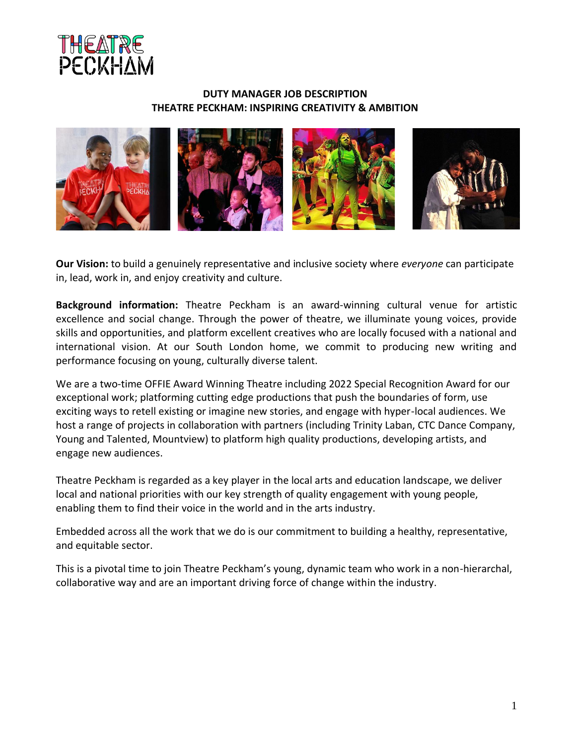

### **DUTY MANAGER JOB DESCRIPTION THEATRE PECKHAM: INSPIRING CREATIVITY & AMBITION**



**Our Vision:** to build a genuinely representative and inclusive society where *everyone* can participate in, lead, work in, and enjoy creativity and culture.

**Background information:** Theatre Peckham is an award-winning cultural venue for artistic excellence and social change. Through the power of theatre, we illuminate young voices, provide skills and opportunities, and platform excellent creatives who are locally focused with a national and international vision. At our South London home, we commit to producing new writing and performance focusing on young, culturally diverse talent.

We are a two-time OFFIE Award Winning Theatre including 2022 Special Recognition Award for our exceptional work; platforming cutting edge productions that push the boundaries of form, use exciting ways to retell existing or imagine new stories, and engage with hyper-local audiences. We host a range of projects in collaboration with partners (including Trinity Laban, CTC Dance Company, Young and Talented, Mountview) to platform high quality productions, developing artists, and engage new audiences.

Theatre Peckham is regarded as a key player in the local arts and education landscape, we deliver local and national priorities with our key strength of quality engagement with young people, enabling them to find their voice in the world and in the arts industry.

Embedded across all the work that we do is our commitment to building a healthy, representative, and equitable sector.

This is a pivotal time to join Theatre Peckham's young, dynamic team who work in a non-hierarchal, collaborative way and are an important driving force of change within the industry.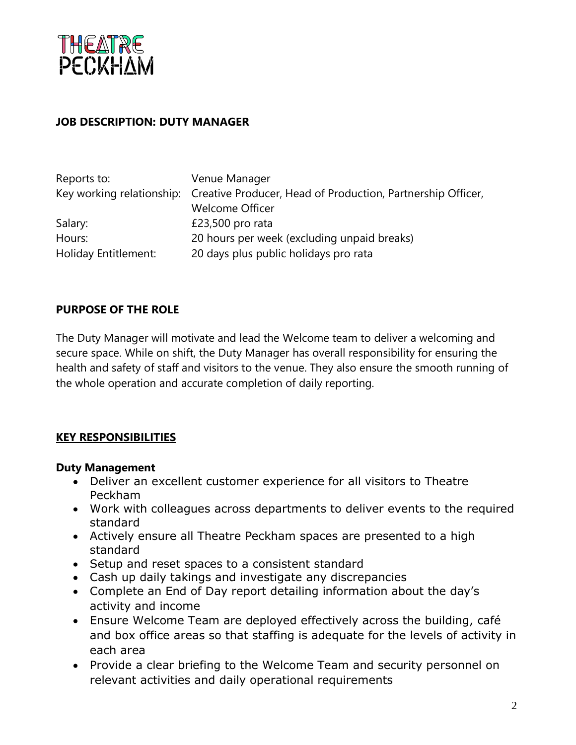

## **JOB DESCRIPTION: DUTY MANAGER**

| Reports to:          | Venue Manager                                                                         |
|----------------------|---------------------------------------------------------------------------------------|
|                      | Key working relationship: Creative Producer, Head of Production, Partnership Officer, |
|                      | <b>Welcome Officer</b>                                                                |
| Salary:              | £23,500 pro rata                                                                      |
| Hours:               | 20 hours per week (excluding unpaid breaks)                                           |
| Holiday Entitlement: | 20 days plus public holidays pro rata                                                 |

## **PURPOSE OF THE ROLE**

The Duty Manager will motivate and lead the Welcome team to deliver a welcoming and secure space. While on shift, the Duty Manager has overall responsibility for ensuring the health and safety of staff and visitors to the venue. They also ensure the smooth running of the whole operation and accurate completion of daily reporting.

## **KEY RESPONSIBILITIES**

### **Duty Management**

- Deliver an excellent customer experience for all visitors to Theatre Peckham
- Work with colleagues across departments to deliver events to the required standard
- Actively ensure all Theatre Peckham spaces are presented to a high standard
- Setup and reset spaces to a consistent standard
- Cash up daily takings and investigate any discrepancies
- Complete an End of Day report detailing information about the day's activity and income
- Ensure Welcome Team are deployed effectively across the building, café and box office areas so that staffing is adequate for the levels of activity in each area
- Provide a clear briefing to the Welcome Team and security personnel on relevant activities and daily operational requirements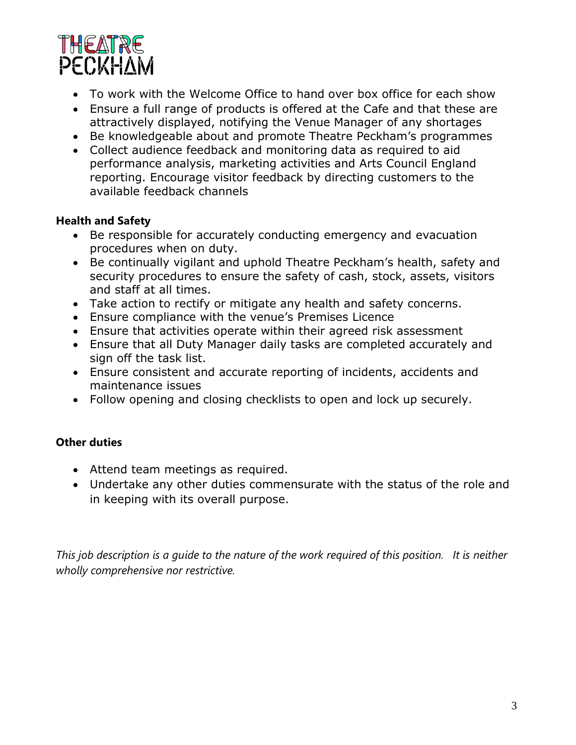

- To work with the Welcome Office to hand over box office for each show
- Ensure a full range of products is offered at the Cafe and that these are attractively displayed, notifying the Venue Manager of any shortages
- Be knowledgeable about and promote Theatre Peckham's programmes
- Collect audience feedback and monitoring data as required to aid performance analysis, marketing activities and Arts Council England reporting. Encourage visitor feedback by directing customers to the available feedback channels

## **Health and Safety**

- Be responsible for accurately conducting emergency and evacuation procedures when on duty.
- Be continually vigilant and uphold Theatre Peckham's health, safety and security procedures to ensure the safety of cash, stock, assets, visitors and staff at all times.
- Take action to rectify or mitigate any health and safety concerns.
- Ensure compliance with the venue's Premises Licence
- Ensure that activities operate within their agreed risk assessment
- Ensure that all Duty Manager daily tasks are completed accurately and sign off the task list.
- Ensure consistent and accurate reporting of incidents, accidents and maintenance issues
- Follow opening and closing checklists to open and lock up securely.

# **Other duties**

- Attend team meetings as required.
- Undertake any other duties commensurate with the status of the role and in keeping with its overall purpose.

*This job description is a guide to the nature of the work required of this position. It is neither wholly comprehensive nor restrictive.*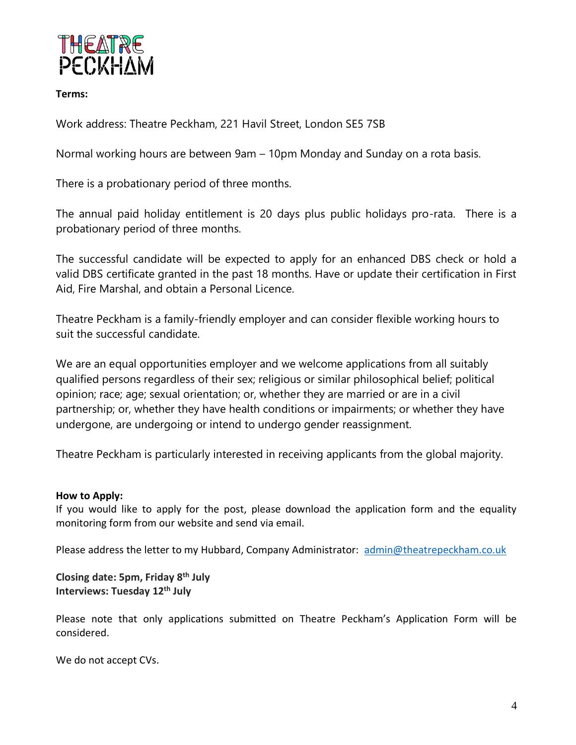

**Terms:**

Work address: Theatre Peckham, 221 Havil Street, London SE5 7SB

Normal working hours are between 9am – 10pm Monday and Sunday on a rota basis.

There is a probationary period of three months.

The annual paid holiday entitlement is 20 days plus public holidays pro-rata. There is a probationary period of three months.

The successful candidate will be expected to apply for an enhanced DBS check or hold a valid DBS certificate granted in the past 18 months. Have or update their certification in First Aid, Fire Marshal, and obtain a Personal Licence.

Theatre Peckham is a family-friendly employer and can consider flexible working hours to suit the successful candidate.

We are an equal opportunities employer and we welcome applications from all suitably qualified persons regardless of their sex; religious or similar philosophical belief; political opinion; race; age; sexual orientation; or, whether they are married or are in a civil partnership; or, whether they have health conditions or impairments; or whether they have undergone, are undergoing or intend to undergo gender reassignment.

Theatre Peckham is particularly interested in receiving applicants from the global majority.

### **How to Apply:**

If you would like to apply for the post, please download the application form and the equality monitoring form from our website and send via email.

Please address the letter to my Hubbard, Company Administrator: [admin@theatrepeckham.co.uk](mailto:admin@theatrepeckham.co.uk)

**Closing date: 5pm, Friday 8th July Interviews: Tuesday 12th July** 

Please note that only applications submitted on Theatre Peckham's Application Form will be considered.

We do not accept CVs.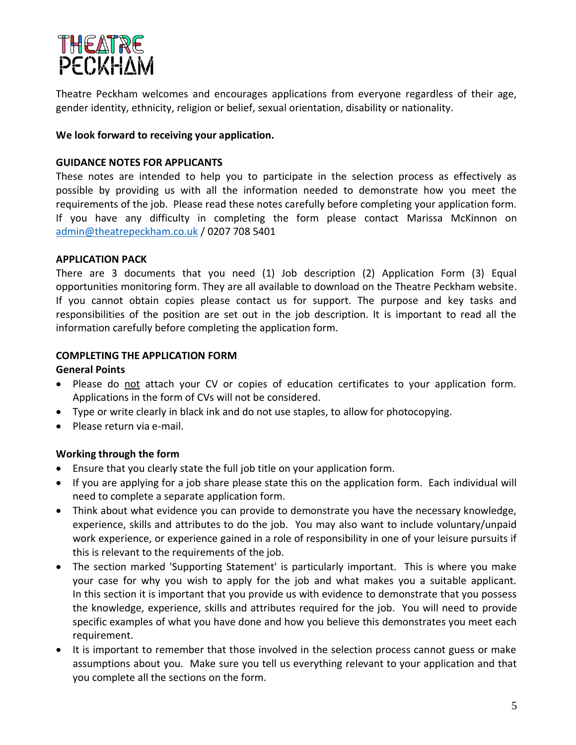

Theatre Peckham welcomes and encourages applications from everyone regardless of their age, gender identity, ethnicity, religion or belief, sexual orientation, disability or nationality.

#### **We look forward to receiving your application.**

#### **GUIDANCE NOTES FOR APPLICANTS**

These notes are intended to help you to participate in the selection process as effectively as possible by providing us with all the information needed to demonstrate how you meet the requirements of the job. Please read these notes carefully before completing your application form. If you have any difficulty in completing the form please contact Marissa McKinnon on [admin@theatrepeckham.co.uk](mailto:admin@theatrepeckham.co.uk) / 0207 708 5401

#### **APPLICATION PACK**

There are 3 documents that you need (1) Job description (2) Application Form (3) Equal opportunities monitoring form. They are all available to download on the Theatre Peckham website. If you cannot obtain copies please contact us for support. The purpose and key tasks and responsibilities of the position are set out in the job description. It is important to read all the information carefully before completing the application form.

#### **COMPLETING THE APPLICATION FORM**

#### **General Points**

- Please do not attach your CV or copies of education certificates to your application form. Applications in the form of CVs will not be considered.
- Type or write clearly in black ink and do not use staples, to allow for photocopying.
- Please return via e-mail.

### **Working through the form**

- Ensure that you clearly state the full job title on your application form.
- If you are applying for a job share please state this on the application form. Each individual will need to complete a separate application form.
- Think about what evidence you can provide to demonstrate you have the necessary knowledge, experience, skills and attributes to do the job. You may also want to include voluntary/unpaid work experience, or experience gained in a role of responsibility in one of your leisure pursuits if this is relevant to the requirements of the job.
- The section marked 'Supporting Statement' is particularly important. This is where you make your case for why you wish to apply for the job and what makes you a suitable applicant. In this section it is important that you provide us with evidence to demonstrate that you possess the knowledge, experience, skills and attributes required for the job. You will need to provide specific examples of what you have done and how you believe this demonstrates you meet each requirement.
- It is important to remember that those involved in the selection process cannot guess or make assumptions about you. Make sure you tell us everything relevant to your application and that you complete all the sections on the form.